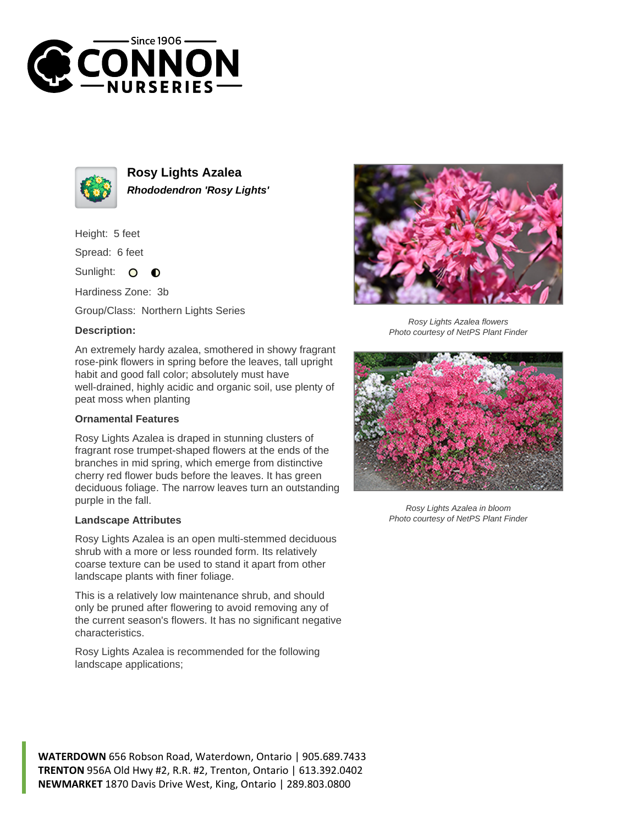



**Rosy Lights Azalea Rhododendron 'Rosy Lights'**

Height: 5 feet

Spread: 6 feet

Sunlight:  $\bullet$  $\bullet$ 

Hardiness Zone: 3b

Group/Class: Northern Lights Series

## **Description:**

An extremely hardy azalea, smothered in showy fragrant rose-pink flowers in spring before the leaves, tall upright habit and good fall color; absolutely must have well-drained, highly acidic and organic soil, use plenty of peat moss when planting

## **Ornamental Features**

Rosy Lights Azalea is draped in stunning clusters of fragrant rose trumpet-shaped flowers at the ends of the branches in mid spring, which emerge from distinctive cherry red flower buds before the leaves. It has green deciduous foliage. The narrow leaves turn an outstanding purple in the fall.

## **Landscape Attributes**

Rosy Lights Azalea is an open multi-stemmed deciduous shrub with a more or less rounded form. Its relatively coarse texture can be used to stand it apart from other landscape plants with finer foliage.

This is a relatively low maintenance shrub, and should only be pruned after flowering to avoid removing any of the current season's flowers. It has no significant negative characteristics.

Rosy Lights Azalea is recommended for the following landscape applications;



Rosy Lights Azalea flowers Photo courtesy of NetPS Plant Finder



Rosy Lights Azalea in bloom Photo courtesy of NetPS Plant Finder

**WATERDOWN** 656 Robson Road, Waterdown, Ontario | 905.689.7433 **TRENTON** 956A Old Hwy #2, R.R. #2, Trenton, Ontario | 613.392.0402 **NEWMARKET** 1870 Davis Drive West, King, Ontario | 289.803.0800